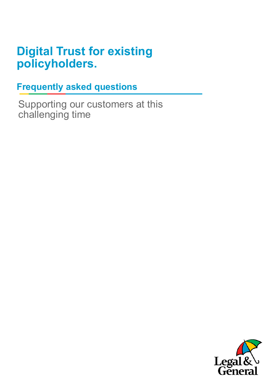# **Digital Trust for existing policyholders.**

**Frequently asked questions**

Supporting our customers at this challenging time

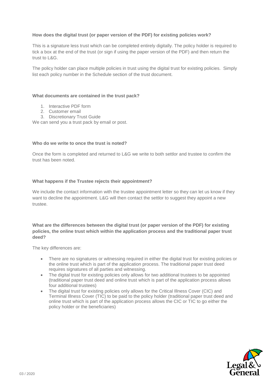## **How does the digital trust (or paper version of the PDF) for existing policies work?**

This is a signature less trust which can be completed entirely digitally. The policy holder is required to tick a box at the end of the trust (or sign if using the paper version of the PDF) and then return the trust to L&G.

The policy holder can place multiple policies in trust using the digital trust for existing policies. Simply list each policy number in the Schedule section of the trust document.

#### **What documents are contained in the trust pack?**

- 1. Interactive PDF form
- 2. Customer email
- 3. Discretionary Trust Guide

We can send you a trust pack by email or post.

#### **Who do we write to once the trust is noted?**

Once the form is completed and returned to L&G we write to both settlor and trustee to confirm the trust has been noted.

#### **What happens if the Trustee rejects their appointment?**

We include the contact information with the trustee appointment letter so they can let us know if they want to decline the appointment. L&G will then contact the settlor to suggest they appoint a new trustee.

**What are the differences between the digital trust (or paper version of the PDF) for existing policies, the online trust which within the application process and the traditional paper trust deed?**

The key differences are:

- There are no signatures or witnessing required in either the digital trust for existing policies or the online trust which is part of the application process. The traditional paper trust deed requires signatures of all parties and witnessing.
- The digital trust for existing policies only allows for two additional trustees to be appointed (traditional paper trust deed and online trust which is part of the application process allows four additional trustees)
- The digital trust for existing policies only allows for the Critical Illness Cover (CIC) and Terminal Illness Cover (TIC) to be paid to the policy holder (traditional paper trust deed and online trust which is part of the application process allows the CIC or TIC to go either the policy holder or the beneficiaries)

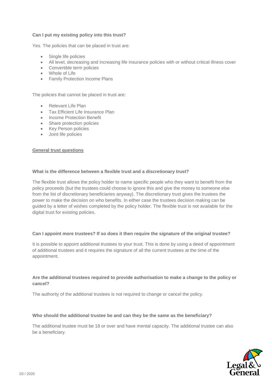## **Can I put my existing policy into this trust?**

Yes. The policies that can be placed in trust are:

- Single life policies
- All level, decreasing and increasing life insurance policies with or without critical illness cover
- Convertible term policies
- Whole of Life
- Family Protection Income Plans

The policies that cannot be placed in trust are:

- Relevant Life Plan
- Tax Efficient Life Insurance Plan
- Income Protection Benefit
- Share protection policies
- Key Person policies
- Joint life policies

#### **General trust questions**

#### **What is the difference between a flexible trust and a discretionary trust?**

The flexible trust allows the policy holder to name specific people who they want to benefit from the policy proceeds (but the trustees could choose to ignore this and give the money to someone else from the list of discretionary beneficiaries anyway). The discretionary trust gives the trustees the power to make the decision on who benefits. In either case the trustees decision making can be guided by a letter of wishes completed by the policy holder. The flexible trust is not available for the digital trust for existing policies.

#### **Can I appoint more trustees? If so does it then require the signature of the original trustee?**

It is possible to appoint additional trustees to your trust. This is done by using a deed of appointment of additional trustees and it requires the signature of all the current trustees at the time of the appointment.

#### **Are the additional trustees required to provide authorisation to make a change to the policy or cancel?**

The authority of the additional trustees is not required to change or cancel the policy.

#### **Who should the additional trustee be and can they be the same as the beneficiary?**

The additional trustee must be 18 or over and have mental capacity. The additional trustee can also be a beneficiary.